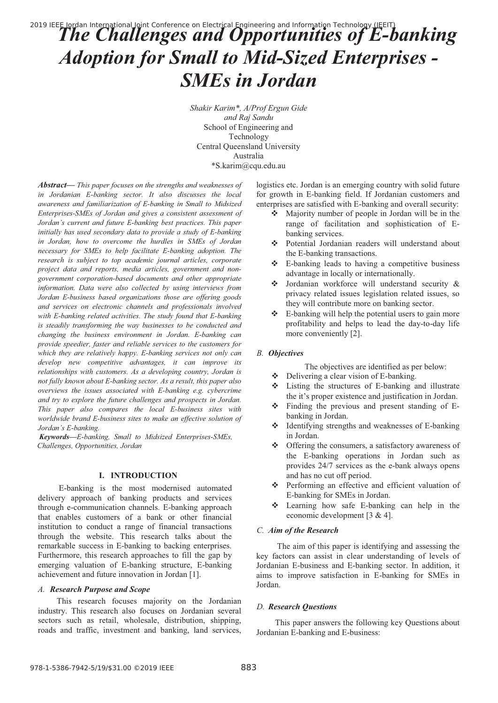# 2019 IEEE Iordan International Joint Conference on Electrical Engineering and Information Technology (IEEIT)<br>The Challenges and Opportunities of E-banking *Adoption for Small to Mid-Sized Enterprises - SMEs in Jordan*

*Shakir Karim\*, A/Prof Ergun Gide and Raj Sandu* School of Engineering and Technology Central Queensland University Australia \*S.karim@cqu.edu.au

*Abstract***—** *This paper focuses on the strengths and weaknesses of in Jordanian E-banking sector. It also discusses the local awareness and familiarization of E-banking in Small to Midsized Enterprises-SMEs of Jordan and gives a consistent assessment of Jordan's current and future E-banking best practices. This paper initially has used secondary data to provide a study of E-banking in Jordan, how to overcome the hurdles in SMEs of Jordan necessary for SMEs to help facilitate E-banking adoption. The research is subject to top academic journal articles, corporate project data and reports, media articles, government and nongovernment corporation-based documents and other appropriate information. Data were also collected by using interviews from Jordan E-business based organizations those are offering goods and services on electronic channels and professionals involved*  with *E-banking related activities. The study found that E-banking is steadily transforming the way businesses to be conducted and changing the business environment in Jordan. E-banking can provide speedier, faster and reliable services to the customers for which they are relatively happy. E-banking services not only can develop new competitive advantages, it can improve its relationships with customers. As a developing country, Jordan is not fully known about E-banking sector. As a result, this paper also overviews the issues associated with E-banking e.g. cybercrime and try to explore the future challenges and prospects in Jordan. This paper also compares the local E-business sites with worldwide brand E-business sites to make an effective solution of Jordan's E-banking.* 

 *Keywords—E-banking, Small to Midsized Enterprises-SMEs, Challenges, Opportunities, Jordan*

## **I. INTRODUCTION**

 E-banking is the most modernised automated delivery approach of banking products and services through e-communication channels. E-banking approach that enables customers of a bank or other financial institution to conduct a range of financial transactions through the website. This research talks about the remarkable success in E-banking to backing enterprises. Furthermore, this research approaches to fill the gap by emerging valuation of E-banking structure, E-banking achievement and future innovation in Jordan [1].

#### *A. Research Purpose and Scope*

 This research focuses majority on the Jordanian industry. This research also focuses on Jordanian several sectors such as retail, wholesale, distribution, shipping, roads and traffic, investment and banking, land services, logistics etc. Jordan is an emerging country with solid future for growth in E-banking field. If Jordanian customers and enterprises are satisfied with E-banking and overall security:

- Majority number of people in Jordan will be in the range of facilitation and sophistication of Ebanking services.
- Potential Jordanian readers will understand about the E-banking transactions.
- E-banking leads to having a competitive business advantage in locally or internationally.
- Jordanian workforce will understand security & privacy related issues legislation related issues, so they will contribute more on banking sector.
- \* E-banking will help the potential users to gain more profitability and helps to lead the day-to-day life more conveniently [2].

### *B. Objectives*

The objectives are identified as per below:

- Delivering a clear vision of E-banking.
- - Listing the structures of E-banking and illustrate the it's proper existence and justification in Jordan.
- Finding the previous and present standing of Ebanking in Jordan.
- - Identifying strengths and weaknesses of E-banking in Jordan.
- - Offering the consumers, a satisfactory awareness of the E-banking operations in Jordan such as provides 24/7 services as the e-bank always opens and has no cut off period.
- Performing an effective and efficient valuation of E-banking for SMEs in Jordan.
- Learning how safe E-banking can help in the economic development [3 & 4].

## *C. Aim of the Research*

 The aim of this paper is identifying and assessing the key factors can assist in clear understanding of levels of Jordanian E-business and E-banking sector. In addition, it aims to improve satisfaction in E-banking for SMEs in Jordan.

#### *D. Research Questions*

 This paper answers the following key Questions about Jordanian E-banking and E-business: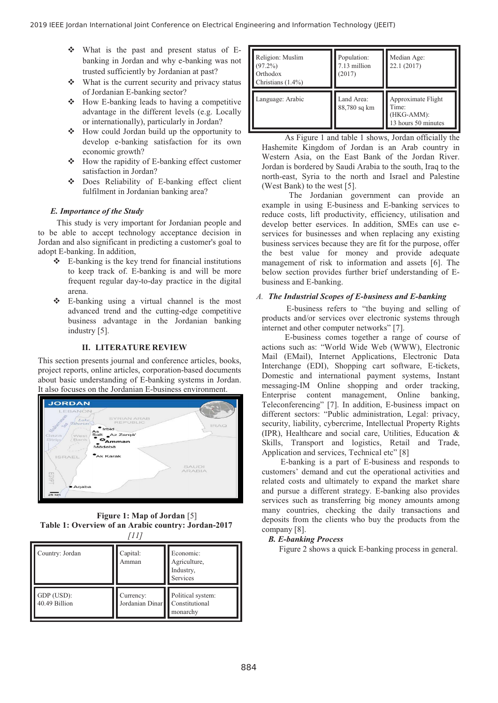- What is the past and present status of Ebanking in Jordan and why e-banking was not trusted sufficiently by Jordanian at past?
- $\frac{1}{2}$  What is the current security and privacy status of Jordanian E-banking sector?
- How E-banking leads to having a competitive advantage in the different levels (e.g. Locally or internationally), particularly in Jordan?
- $\frac{1}{2}$  How could Jordan build up the opportunity to develop e-banking satisfaction for its own economic growth?
- $\cdot$  How the rapidity of E-banking effect customer satisfaction in Jordan?
- $\frac{1}{2}$  Does Reliability of E-banking effect client fulfilment in Jordanian banking area?

## *E. Importance of the Study*

 This study is very important for Jordanian people and to be able to accept technology acceptance decision in Jordan and also significant in predicting a customer's goal to adopt E-banking. In addition,

- E-banking is the key trend for financial institutions to keep track of. E-banking is and will be more frequent regular day-to-day practice in the digital arena.
- $\frac{1}{2}$  E-banking using a virtual channel is the most advanced trend and the cutting-edge competitive business advantage in the Jordanian banking industry [5].

## **II. LITERATURE REVIEW**

This section presents journal and conference articles, books, project reports, online articles, corporation-based documents about basic understanding of E-banking systems in Jordan. It also focuses on the Jordanian E-business environment.



**Figure 1: Map of Jordan** [5]  **Table 1: Overview of an Arabic country: Jordan-2017** *[11]*

| Country: Jordan             | Capital:<br>Amman            | Economic:<br>Agriculture,<br>Industry,<br>Services |
|-----------------------------|------------------------------|----------------------------------------------------|
| GDP (USD):<br>40.49 Billion | Currency:<br>Jordanian Dinar | Political system:<br>Constitutional<br>monarchy    |

| Religion: Muslim<br>$(97.2\%)$<br>Orthodox<br>Christians $(1.4\%)$ | Population:<br>7.13 million<br>(2017) | Median Age:<br>22.1 (2017)                                                   |
|--------------------------------------------------------------------|---------------------------------------|------------------------------------------------------------------------------|
| Language: Arabic                                                   | Land Area:<br>88,780 sq km            | Approximate Flight<br>Time <sup>.</sup><br>(HKG-AMM):<br>13 hours 50 minutes |

 As Figure 1 and table 1 shows, Jordan officially the Hashemite Kingdom of Jordan is an Arab country in Western Asia, on the East Bank of the Jordan River. Jordan is bordered by Saudi Arabia to the south, Iraq to the north-east, Syria to the north and Israel and Palestine (West Bank) to the west [5].

 The Jordanian government can provide an example in using E-business and E-banking services to reduce costs, lift productivity, efficiency, utilisation and develop better eservices. In addition, SMEs can use eservices for businesses and when replacing any existing business services because they are fit for the purpose, offer the best value for money and provide adequate management of risk to information and assets [6]. The below section provides further brief understanding of Ebusiness and E-banking.

## *A. The Industrial Scopes of E-business and E-banking*

 E-business refers to "the buying and selling of products and/or services over electronic systems through internet and other computer networks" [7].

 E-business comes together a range of course of actions such as: "World Wide Web (WWW), Electronic Mail (EMail), Internet Applications, Electronic Data Interchange (EDI), Shopping cart software, E-tickets, Domestic and international payment systems, Instant messaging-IM Online shopping and order tracking, Enterprise content management, Online banking, Teleconferencing" [7]. In addition, E-business impact on different sectors: "Public administration, Legal: privacy, security, liability, cybercrime, Intellectual Property Rights (IPR), Healthcare and social care, Utilities, Education & Skills, Transport and logistics, Retail and Trade, Application and services, Technical etc" [8]

 E-banking is a part of E-business and responds to customers' demand and cut the operational activities and related costs and ultimately to expand the market share and pursue a different strategy. E-banking also provides services such as transferring big money amounts among many countries, checking the daily transactions and deposits from the clients who buy the products from the company [8].

## *B. E-banking Process*

Figure 2 shows a quick E-banking process in general.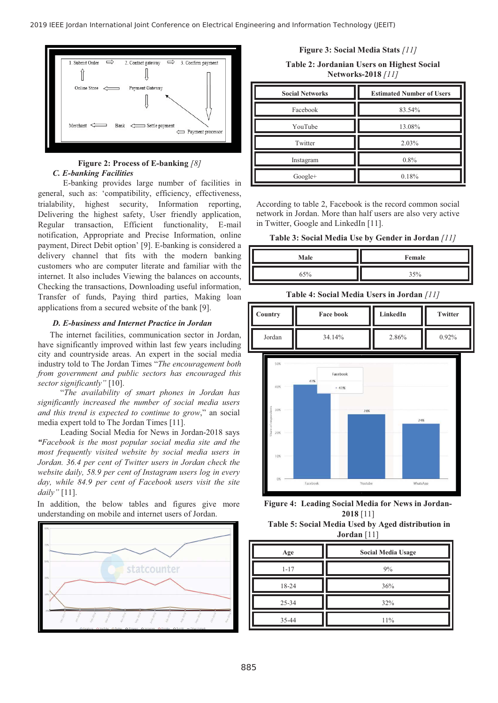

# **Figure 2: Process of E-banking** *[8] C. E-banking Facilities*

 E-banking provides large number of facilities in general, such as: 'compatibility, efficiency, effectiveness, trialability, highest security, Information reporting, Delivering the highest safety, User friendly application, Regular transaction, Efficient functionality, E-mail notification, Appropriate and Precise Information, online payment, Direct Debit option' [9]. E-banking is considered a delivery channel that fits with the modern banking customers who are computer literate and familiar with the internet. It also includes Viewing the balances on accounts, Checking the transactions, Downloading useful information, Transfer of funds, Paying third parties, Making loan applications from a secured website of the bank [9].

## *D. E-business and Internet Practice in Jordan*

The internet facilities, communication sector in Jordan, have significantly improved within last few years including city and countryside areas. An expert in the social media industry told to The Jordan Times "*The encouragement both from government and public sectors has encouraged this sector significantly"* [10].

 "*The availability of smart phones in Jordan has significantly increased the number of social media users and this trend is expected to continue to grow*," an social media expert told to The Jordan Times [11].

 Leading Social Media for News in Jordan-2018 says *"Facebook is the most popular social media site and the most frequently visited website by social media users in Jordan. 36.4 per cent of Twitter users in Jordan check the website daily, 58.9 per cent of Instagram users log in every day, while 84.9 per cent of Facebook users visit the site daily"* [11].

In addition, the below tables and figures give more understanding on mobile and internet users of Jordan.



**Figure 3: Social Media Stats** *[11]* 

**Table 2: Jordanian Users on Highest Social Networks-2018** *[11]* 

| <b>Social Networks</b> | <b>Estimated Number of Users</b> |  |  |
|------------------------|----------------------------------|--|--|
| Facebook               | 83.54%                           |  |  |
| YouTube                | 13.08%                           |  |  |
| Twitter                | 2.03%                            |  |  |
| Instagram              | 0.8%                             |  |  |
| Google+                | 0.18%                            |  |  |

According to table 2, Facebook is the record common social network in Jordan. More than half users are also very active in Twitter, Google and LinkedIn [11].

**Table 3: Social Media Use by Gender in Jordan** *[11]* 

| Male | Female |
|------|--------|
| 65%  | 35%    |

**Table 4: Social Media Users in Jordan** *[11]* 

| Country | <b>Face book</b> | LinkedIn | <b>Twitter</b> |
|---------|------------------|----------|----------------|
| Jordan  | 34.14%           | 2.86%    | 0.92%          |



**Figure 4: Leading Social Media for News in Jordan-2018** [11]

| Table 5: Social Media Used by Aged distribution in |
|----------------------------------------------------|
| Jordan $[11]$                                      |

| Age      | <b>Social Media Usage</b> |  |  |
|----------|---------------------------|--|--|
| $1 - 17$ | 9%                        |  |  |
| 18-24    | 36%                       |  |  |
| 25-34    | 32%                       |  |  |
| 35-44    | 11%                       |  |  |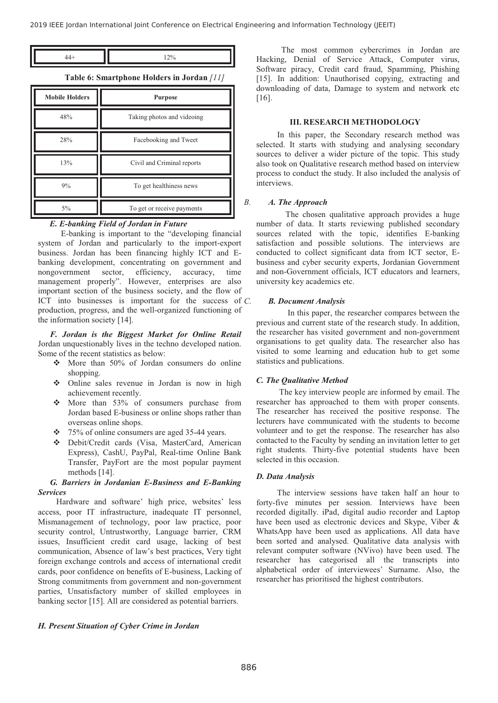$$
44+
$$
 12%

**Table 6: Smartphone Holders in Jordan** *[11]* 

| <b>Mobile Holders</b> | <b>Purpose</b>             |  |  |  |
|-----------------------|----------------------------|--|--|--|
| 48%                   | Taking photos and videoing |  |  |  |
| 28%                   | Facebooking and Tweet      |  |  |  |
| 13%                   | Civil and Criminal reports |  |  |  |
| 9%                    | To get healthiness news    |  |  |  |
| $5\%$                 | To get or receive payments |  |  |  |

## *E. E-banking Field of Jordan in Future*

 E-banking is important to the "developing financial system of Jordan and particularly to the import-export business. Jordan has been financing highly ICT and Ebanking development, concentrating on government and nongovernment sector, efficiency, accuracy, time management properly". However, enterprises are also important section of the business society, and the flow of ICT into businesses is important for the success of  $C$ . production, progress, and the well-organized functioning of the information society [14].

*F. Jordan is the Biggest Market for Online Retail* Jordan unquestionably lives in the techno developed nation. Some of the recent statistics as below:

- More than 50% of Jordan consumers do online shopping.
- Online sales revenue in Jordan is now in high achievement recently.
- More than 53% of consumers purchase from Jordan based E-business or online shops rather than overseas online shops.
- 75% of online consumers are aged 35-44 years.
- Debit/Credit cards (Visa, MasterCard, American Express), CashU, PayPal, Real-time Online Bank Transfer, PayFort are the most popular payment methods [14].

## *G. Barriers in Jordanian E-Business and E-Banking Services*

 Hardware and software' high price, websites' less access, poor IT infrastructure, inadequate IT personnel, Mismanagement of technology, poor law practice, poor security control, Untrustworthy, Language barrier, CRM issues, Insufficient credit card usage, lacking of best communication, Absence of law's best practices, Very tight foreign exchange controls and access of international credit cards, poor confidence on benefits of E-business, Lacking of Strong commitments from government and non-government parties, Unsatisfactory number of skilled employees in banking sector [15]. All are considered as potential barriers.

*H. Present Situation of Cyber Crime in Jordan* 

 The most common cybercrimes in Jordan are Hacking, Denial of Service Attack, Computer virus, Software piracy, Credit card fraud, Spamming, Phishing [15]. In addition: Unauthorised copying, extracting and downloading of data, Damage to system and network etc [16].

#### **III. RESEARCH METHODOLOGY**

 In this paper, the Secondary research method was selected. It starts with studying and analysing secondary sources to deliver a wider picture of the topic. This study also took on Qualitative research method based on interview process to conduct the study. It also included the analysis of interviews.

#### *B. A. The Approach*

 The chosen qualitative approach provides a huge number of data. It starts reviewing published secondary sources related with the topic, identifies E-banking satisfaction and possible solutions. The interviews are conducted to collect significant data from ICT sector, Ebusiness and cyber security experts, Jordanian Government and non-Government officials, ICT educators and learners, university key academics etc.

#### *C. B. Document Analysis*

 In this paper, the researcher compares between the previous and current state of the research study. In addition, the researcher has visited government and non-government organisations to get quality data. The researcher also has visited to some learning and education hub to get some statistics and publications.

#### *C. The Qualitative Method*

 The key interview people are informed by email. The researcher has approached to them with proper consents. The researcher has received the positive response. The lecturers have communicated with the students to become volunteer and to get the response. The researcher has also contacted to the Faculty by sending an invitation letter to get right students. Thirty-five potential students have been selected in this occasion.

## *D. Data Analysis*

 The interview sessions have taken half an hour to forty-five minutes per session. Interviews have been recorded digitally. iPad, digital audio recorder and Laptop have been used as electronic devices and Skype, Viber & WhatsApp have been used as applications. All data have been sorted and analysed. Qualitative data analysis with relevant computer software (NVivo) have been used. The researcher has categorised all the transcripts into alphabetical order of interviewees' Surname. Also, the researcher has prioritised the highest contributors.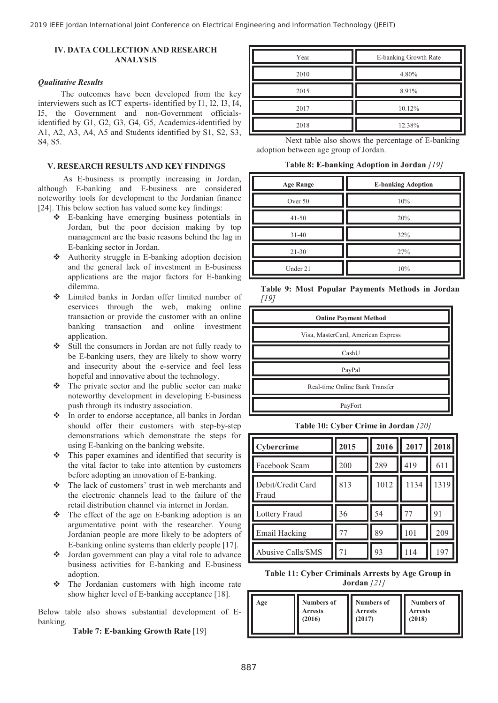# **IV. DATA COLLECTION AND RESEARCH ANALYSIS**

#### *Qualitative Results*

 The outcomes have been developed from the key interviewers such as ICT experts- identified by I1, I2, I3, I4, I5, the Government and non-Government officialsidentified by G1, G2, G3, G4, G5, Academics-identified by A1, A2, A3, A4, A5 and Students identified by S1, S2, S3, S4, S5.

### **V. RESEARCH RESULTS AND KEY FINDINGS**

 As E-business is promptly increasing in Jordan, although E-banking and E-business are considered noteworthy tools for development to the Jordanian finance [24]. This below section has valued some key findings:

- E-banking have emerging business potentials in Jordan, but the poor decision making by top management are the basic reasons behind the lag in E-banking sector in Jordan.
- Authority struggle in E-banking adoption decision and the general lack of investment in E-business applications are the major factors for E-banking dilemma.
- Limited banks in Jordan offer limited number of eservices through the web, making online transaction or provide the customer with an online banking transaction and online investment application.
- - Still the consumers in Jordan are not fully ready to be E-banking users, they are likely to show worry and insecurity about the e-service and feel less hopeful and innovative about the technology.
- $\frac{1}{2}$  The private sector and the public sector can make noteworthy development in developing E-business push through its industry association.
- In order to endorse acceptance, all banks in Jordan should offer their customers with step-by-step demonstrations which demonstrate the steps for using E-banking on the banking website.
- This paper examines and identified that security is the vital factor to take into attention by customers before adopting an innovation of E-banking.
- The lack of customers' trust in web merchants and the electronic channels lead to the failure of the retail distribution channel via internet in Jordan.
- The effect of the age on E-banking adoption is an argumentative point with the researcher. Young Jordanian people are more likely to be adopters of E-banking online systems than elderly people [17].
- Jordan government can play a vital role to advance business activities for E-banking and E-business adoption.
- The Jordanian customers with high income rate show higher level of E-banking acceptance [18].

Below table also shows substantial development of Ebanking.

**Table 7: E-banking Growth Rate** [19]

| Year | E-banking Growth Rate |  |  |
|------|-----------------------|--|--|
| 2010 | 4.80%                 |  |  |
| 2015 | 8.91%                 |  |  |
| 2017 | 10.12%                |  |  |
| 2018 | 12.38%                |  |  |

 Next table also shows the percentage of E-banking adoption between age group of Jordan.

**Table 8: E-banking Adoption in Jordan** *[19]* 

| <b>Age Range</b> | <b>E-banking Adoption</b> |  |  |
|------------------|---------------------------|--|--|
| Over 50          | 10%                       |  |  |
| $41 - 50$        | 20%                       |  |  |
| $31-40$          | 32%                       |  |  |
| $21 - 30$        | 27%                       |  |  |
| Under 21         | 10%                       |  |  |

**Table 9: Most Popular Payments Methods in Jordan** *[19]* 

| <b>Online Payment Method</b>       |
|------------------------------------|
| Visa, MasterCard, American Express |
| CashU                              |
| PayPal                             |
| Real-time Online Bank Transfer     |
| PayFort                            |

**Table 10: Cyber Crime in Jordan** *[20]* 

| Cybercrime                 | 2015 | 2016 | 2017 | 2018 |
|----------------------------|------|------|------|------|
| Facebook Scam              | 200  | 289  | 419  | 611  |
| Debit/Credit Card<br>Fraud | 813  | 1012 | 1134 | 1319 |
| Lottery Fraud              | 36   | 54   | 77   | 91   |
| <b>Email Hacking</b>       | 77   | 89   | 101  | 209  |
| Abusive Calls/SMS          | 71   | 93   | 114  | 197  |

**Table 11: Cyber Criminals Arrests by Age Group in Jordan** *[21]* 

| Age | <b>Numbers of</b> | Numbers of     | <b>Numbers of</b> |
|-----|-------------------|----------------|-------------------|
|     | <b>Arrests</b>    | <b>Arrests</b> | <b>Arrests</b>    |
|     | (2016)            | (2017)         | (2018)            |
|     |                   |                |                   |